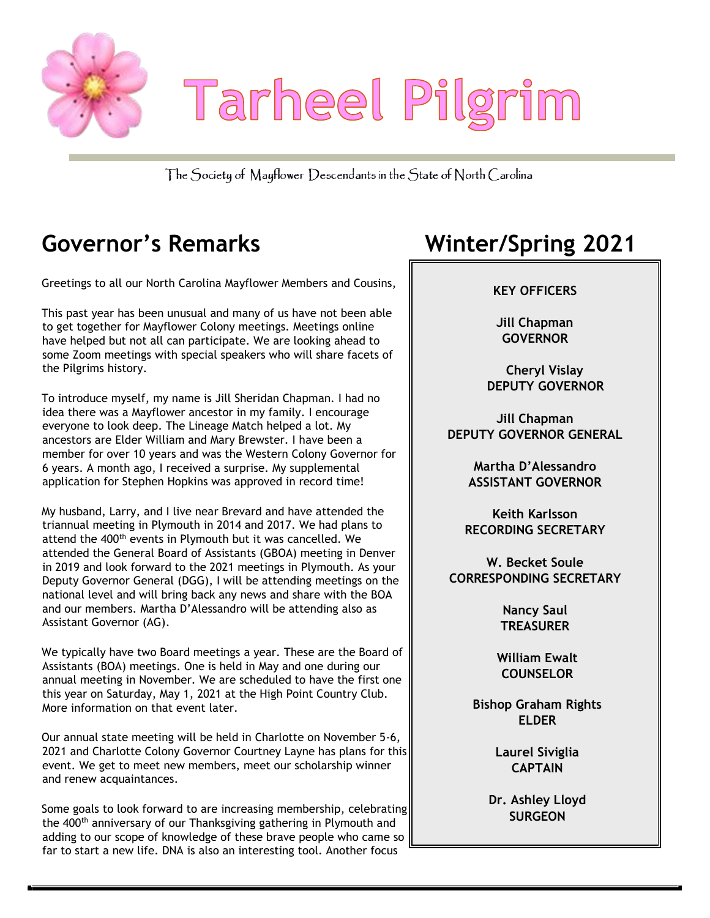

# Tarheel Pilgrim

The Society of Mayflower Descendants in the State of North Carolina

## **Governor's Remarks Winter/Spring 2021**

Greetings to all our North Carolina Mayflower Members and Cousins,

This past year has been unusual and many of us have not been able to get together for Mayflower Colony meetings. Meetings online have helped but not all can participate. We are looking ahead to some Zoom meetings with special speakers who will share facets of the Pilgrims history.

To introduce myself, my name is Jill Sheridan Chapman. I had no idea there was a Mayflower ancestor in my family. I encourage everyone to look deep. The Lineage Match helped a lot. My ancestors are Elder William and Mary Brewster. I have been a member for over 10 years and was the Western Colony Governor for 6 years. A month ago, I received a surprise. My supplemental application for Stephen Hopkins was approved in record time!

My husband, Larry, and I live near Brevard and have attended the triannual meeting in Plymouth in 2014 and 2017. We had plans to attend the 400<sup>th</sup> events in Plymouth but it was cancelled. We attended the General Board of Assistants (GBOA) meeting in Denver in 2019 and look forward to the 2021 meetings in Plymouth. As your Deputy Governor General (DGG), I will be attending meetings on the national level and will bring back any news and share with the BOA and our members. Martha D'Alessandro will be attending also as Assistant Governor (AG).

We typically have two Board meetings a year. These are the Board of Assistants (BOA) meetings. One is held in May and one during our annual meeting in November. We are scheduled to have the first one this year on Saturday, May 1, 2021 at the High Point Country Club. More information on that event later.

Our annual state meeting will be held in Charlotte on November 5-6, 2021 and Charlotte Colony Governor Courtney Layne has plans for this event. We get to meet new members, meet our scholarship winner and renew acquaintances.

Some goals to look forward to are increasing membership, celebrating the 400<sup>th</sup> anniversary of our Thanksgiving gathering in Plymouth and adding to our scope of knowledge of these brave people who came so far to start a new life. DNA is also an interesting tool. Another focus

**KEY OFFICERS**

**Jill Chapman GOVERNOR**

**Cheryl Vislay DEPUTY GOVERNOR**

**Jill Chapman DEPUTY GOVERNOR GENERAL**

> **Martha D'Alessandro ASSISTANT GOVERNOR**

**Keith Karlsson RECORDING SECRETARY**

**W. Becket Soule CORRESPONDING SECRETARY**

> **Nancy Saul TREASURER**

**William Ewalt COUNSELOR**

**Bishop Graham Rights ELDER**

> **Laurel Siviglia CAPTAIN**

**Dr. Ashley Lloyd SURGEON**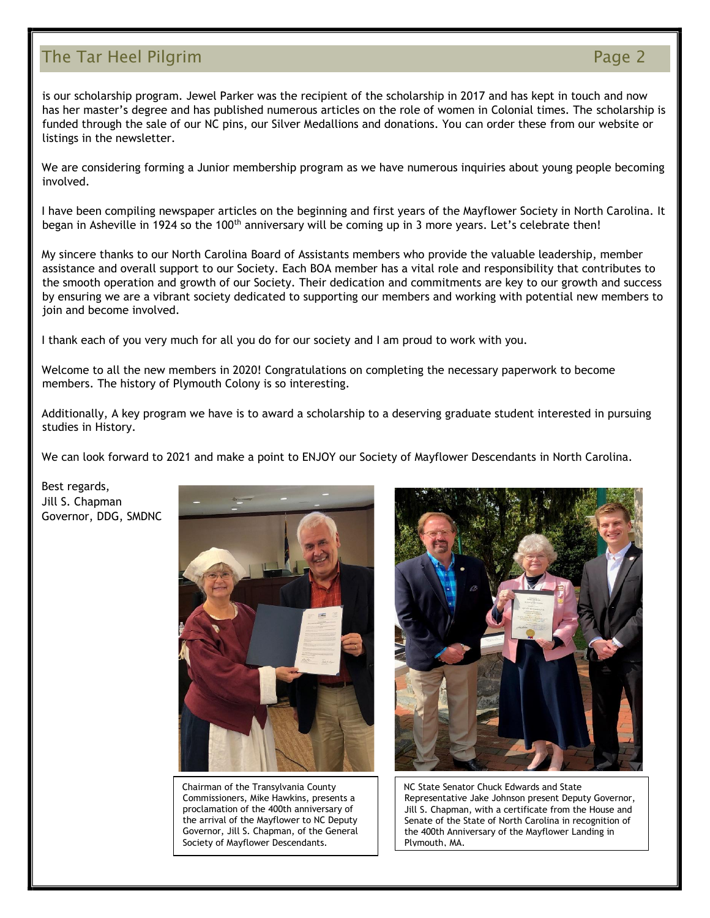is our scholarship program. Jewel Parker was the recipient of the scholarship in 2017 and has kept in touch and now has her master's degree and has published numerous articles on the role of women in Colonial times. The scholarship is funded through the sale of our NC pins, our Silver Medallions and donations. You can order these from our website or listings in the newsletter.

We are considering forming a Junior membership program as we have numerous inquiries about young people becoming involved.

I have been compiling newspaper articles on the beginning and first years of the Mayflower Society in North Carolina. It began in Asheville in 1924 so the 100<sup>th</sup> anniversary will be coming up in 3 more years. Let's celebrate then!

My sincere thanks to our North Carolina Board of Assistants members who provide the valuable leadership, member assistance and overall support to our Society. Each BOA member has a vital role and responsibility that contributes to the smooth operation and growth of our Society. Their dedication and commitments are key to our growth and success by ensuring we are a vibrant society dedicated to supporting our members and working with potential new members to join and become involved.

I thank each of you very much for all you do for our society and I am proud to work with you.

Welcome to all the new members in 2020! Congratulations on completing the necessary paperwork to become members. The history of Plymouth Colony is so interesting.

Additionally, A key program we have is to award a scholarship to a deserving graduate student interested in pursuing studies in History.

We can look forward to 2021 and make a point to ENJOY our Society of Mayflower Descendants in North Carolina.

Best regards, Jill S. Chapman Governor, DDG, SMDNC



Chairman of the Transylvania County Commissioners, Mike Hawkins, presents a proclamation of the 400th anniversary of the arrival of the Mayflower to NC Deputy Governor, Jill S. Chapman, of the General Society of Mayflower Descendants.



NC State Senator Chuck Edwards and State Representative Jake Johnson present Deputy Governor, Jill S. Chapman, with a certificate from the House and Senate of the State of North Carolina in recognition of the 400th Anniversary of the Mayflower Landing in Plymouth, MA.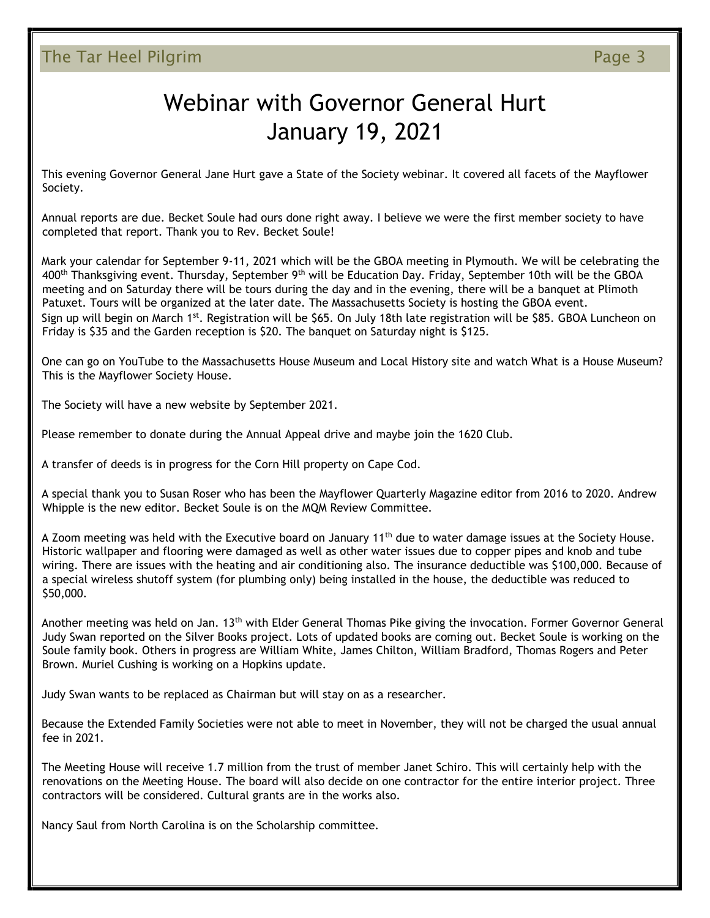### Webinar with Governor General Hurt January 19, 2021

This evening Governor General Jane Hurt gave a State of the Society webinar. It covered all facets of the Mayflower Society.

Annual reports are due. Becket Soule had ours done right away. I believe we were the first member society to have completed that report. Thank you to Rev. Becket Soule!

Mark your calendar for September 9-11, 2021 which will be the GBOA meeting in Plymouth. We will be celebrating the  $400<sup>th</sup>$  Thanksgiving event. Thursday, September 9<sup>th</sup> will be Education Day. Friday, September 10th will be the GBOA meeting and on Saturday there will be tours during the day and in the evening, there will be a banquet at Plimoth Patuxet. Tours will be organized at the later date. The Massachusetts Society is hosting the GBOA event. Sign up will begin on March 1<sup>st</sup>. Registration will be \$65. On July 18th late registration will be \$85. GBOA Luncheon on Friday is \$35 and the Garden reception is \$20. The banquet on Saturday night is \$125.

One can go on YouTube to the Massachusetts House Museum and Local History site and watch What is a House Museum? This is the Mayflower Society House.

The Society will have a new website by September 2021.

Please remember to donate during the Annual Appeal drive and maybe join the 1620 Club.

A transfer of deeds is in progress for the Corn Hill property on Cape Cod.

A special thank you to Susan Roser who has been the Mayflower Quarterly Magazine editor from 2016 to 2020. Andrew Whipple is the new editor. Becket Soule is on the MQM Review Committee.

A Zoom meeting was held with the Executive board on January  $11<sup>th</sup>$  due to water damage issues at the Society House. Historic wallpaper and flooring were damaged as well as other water issues due to copper pipes and knob and tube wiring. There are issues with the heating and air conditioning also. The insurance deductible was \$100,000. Because of a special wireless shutoff system (for plumbing only) being installed in the house, the deductible was reduced to \$50,000.

Another meeting was held on Jan. 13<sup>th</sup> with Elder General Thomas Pike giving the invocation. Former Governor General Judy Swan reported on the Silver Books project. Lots of updated books are coming out. Becket Soule is working on the Soule family book. Others in progress are William White, James Chilton, William Bradford, Thomas Rogers and Peter Brown. Muriel Cushing is working on a Hopkins update.

Judy Swan wants to be replaced as Chairman but will stay on as a researcher.

Because the Extended Family Societies were not able to meet in November, they will not be charged the usual annual fee in 2021.

The Meeting House will receive 1.7 million from the trust of member Janet Schiro. This will certainly help with the renovations on the Meeting House. The board will also decide on one contractor for the entire interior project. Three contractors will be considered. Cultural grants are in the works also.

Nancy Saul from North Carolina is on the Scholarship committee.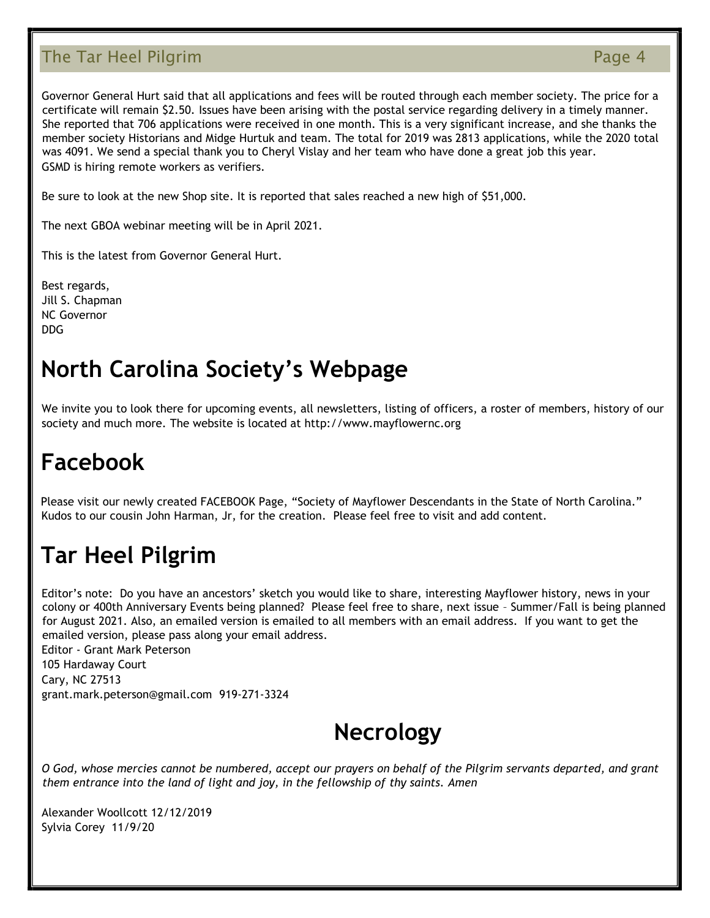Governor General Hurt said that all applications and fees will be routed through each member society. The price for a certificate will remain \$2.50. Issues have been arising with the postal service regarding delivery in a timely manner. She reported that 706 applications were received in one month. This is a very significant increase, and she thanks the member society Historians and Midge Hurtuk and team. The total for 2019 was 2813 applications, while the 2020 total was 4091. We send a special thank you to Cheryl Vislay and her team who have done a great job this year. GSMD is hiring remote workers as verifiers.

Be sure to look at the new Shop site. It is reported that sales reached a new high of \$51,000.

The next GBOA webinar meeting will be in April 2021.

This is the latest from Governor General Hurt.

Best regards, Jill S. Chapman NC Governor DDG

### **North Carolina Society's Webpage**

We invite you to look there for upcoming events, all newsletters, listing of officers, a roster of members, history of our society and much more. The website is located at http://www.mayflowernc.org

### **Facebook**

Please visit our newly created FACEBOOK Page, "Society of Mayflower Descendants in the State of North Carolina." Kudos to our cousin John Harman, Jr, for the creation. Please feel free to visit and add content.

## **Tar Heel Pilgrim**

Editor's note: Do you have an ancestors' sketch you would like to share, interesting Mayflower history, news in your colony or 400th Anniversary Events being planned? Please feel free to share, next issue – Summer/Fall is being planned for August 2021. Also, an emailed version is emailed to all members with an email address. If you want to get the emailed version, please pass along your email address.

Editor - Grant Mark Peterson 105 Hardaway Court Cary, NC 27513 grant.mark.peterson@gmail.com 919-271-3324

### **Necrology**

*O God, whose mercies cannot be numbered, accept our prayers on behalf of the Pilgrim servants departed, and grant them entrance into the land of light and joy, in the fellowship of thy saints. Amen*

Alexander Woollcott 12/12/2019 Sylvia Corey 11/9/20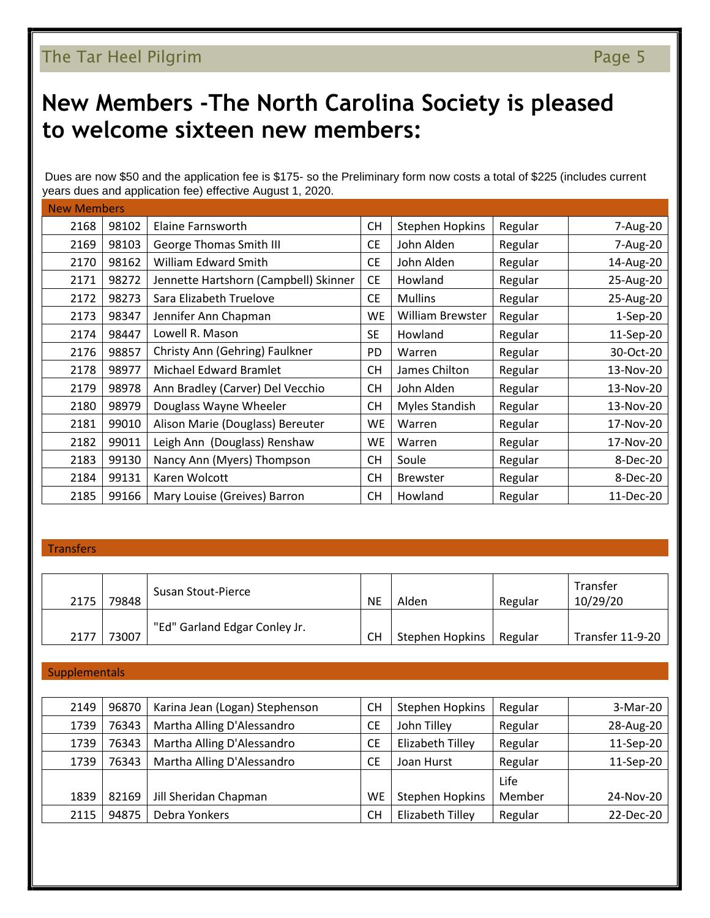#### The Tar Heel Pilgrim **Page 5** and the Contract of Contract of Page 5

### **New Members -The North Carolina Society is pleased to welcome sixteen new members:**

Dues are now \$50 and the application fee is \$175- so the Preliminary form now costs a total of \$225 (includes current years dues and application fee) effective August 1, 2020.

| <b>New Members</b> |       |                                       |           |                         |         |            |
|--------------------|-------|---------------------------------------|-----------|-------------------------|---------|------------|
| 2168               | 98102 | Elaine Farnsworth                     | <b>CH</b> | Stephen Hopkins         | Regular | 7-Aug-20   |
| 2169               | 98103 | <b>George Thomas Smith III</b>        | <b>CE</b> | John Alden              | Regular | 7-Aug-20   |
| 2170               | 98162 | William Edward Smith                  | <b>CE</b> | John Alden              | Regular | 14-Aug-20  |
| 2171               | 98272 | Jennette Hartshorn (Campbell) Skinner | <b>CE</b> | Howland                 | Regular | 25-Aug-20  |
| 2172               | 98273 | Sara Elizabeth Truelove               | <b>CE</b> | <b>Mullins</b>          | Regular | 25-Aug-20  |
| 2173               | 98347 | Jennifer Ann Chapman                  | WE        | <b>William Brewster</b> | Regular | $1-Sep-20$ |
| 2174               | 98447 | Lowell R. Mason                       | <b>SE</b> | Howland                 | Regular | 11-Sep-20  |
| 2176               | 98857 | Christy Ann (Gehring) Faulkner        | <b>PD</b> | Warren                  | Regular | 30-Oct-20  |
| 2178               | 98977 | Michael Edward Bramlet                | <b>CH</b> | James Chilton           | Regular | 13-Nov-20  |
| 2179               | 98978 | Ann Bradley (Carver) Del Vecchio      | <b>CH</b> | John Alden              | Regular | 13-Nov-20  |
| 2180               | 98979 | Douglass Wayne Wheeler                | <b>CH</b> | Myles Standish          | Regular | 13-Nov-20  |
| 2181               | 99010 | Alison Marie (Douglass) Bereuter      | WE        | Warren                  | Regular | 17-Nov-20  |
| 2182               | 99011 | Leigh Ann (Douglass) Renshaw          | WE        | Warren                  | Regular | 17-Nov-20  |
| 2183               | 99130 | Nancy Ann (Myers) Thompson            | <b>CH</b> | Soule                   | Regular | 8-Dec-20   |
| 2184               | 99131 | Karen Wolcott                         | <b>CH</b> | <b>Brewster</b>         | Regular | 8-Dec-20   |
| 2185               | 99166 | Mary Louise (Greives) Barron          | <b>CH</b> | Howland                 | Regular | 11-Dec-20  |

#### **Transfers**

| 2175 | 79848 | <b>Susan Stout-Pierce</b>     | NE        | Alden           | Regular | Transfer<br>10/29/20 |
|------|-------|-------------------------------|-----------|-----------------|---------|----------------------|
| 2177 | 73007 | "Ed" Garland Edgar Conley Jr. | <b>CH</b> | Stephen Hopkins | Regular | Transfer 11-9-20     |

#### Supplementals

| 2149 | 96870 | Karina Jean (Logan) Stephenson | <b>CH</b> | <b>Stephen Hopkins</b> | Regular | 3-Mar-20  |
|------|-------|--------------------------------|-----------|------------------------|---------|-----------|
| 1739 | 76343 | Martha Alling D'Alessandro     | <b>CE</b> | John Tilley            | Regular | 28-Aug-20 |
| 1739 | 76343 | Martha Alling D'Alessandro     | <b>CE</b> | Elizabeth Tilley       | Regular | 11-Sep-20 |
| 1739 | 76343 | Martha Alling D'Alessandro     | <b>CE</b> | Joan Hurst             | Regular | 11-Sep-20 |
|      |       |                                |           |                        | Life    |           |
| 1839 | 82169 | Jill Sheridan Chapman          | WE        | <b>Stephen Hopkins</b> | Member  | 24-Nov-20 |
| 2115 | 94875 | Debra Yonkers                  | CН        | Elizabeth Tilley       | Regular | 22-Dec-20 |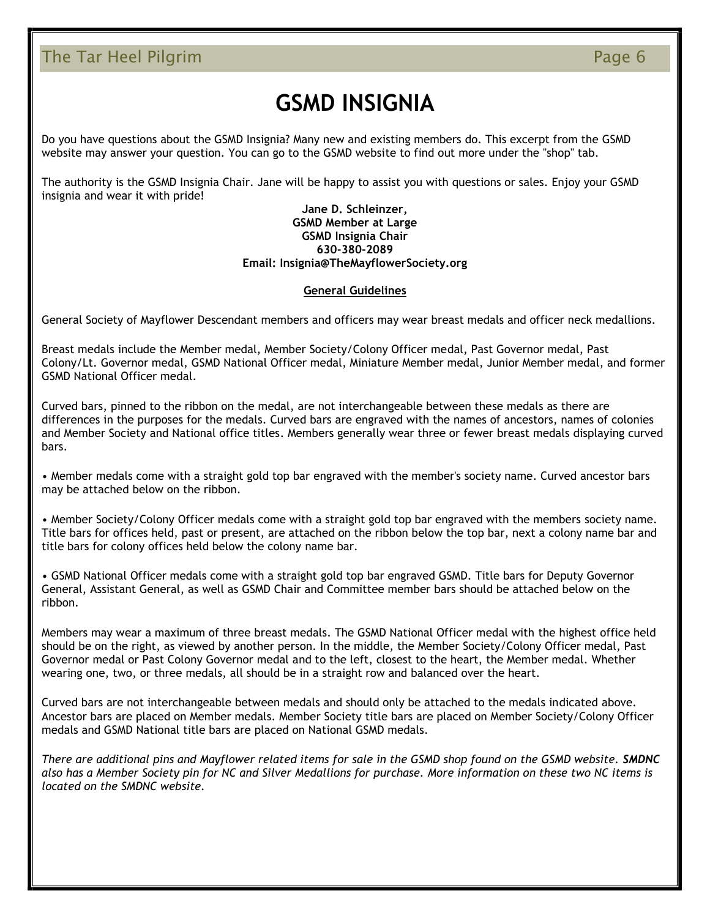### **GSMD INSIGNIA**

Do you have questions about the GSMD Insignia? Many new and existing members do. This excerpt from the GSMD website may answer your question. You can go to the GSMD website to find out more under the "shop" tab.

The authority is the GSMD Insignia Chair. Jane will be happy to assist you with questions or sales. Enjoy your GSMD insignia and wear it with pride!

#### **Jane D. Schleinzer, GSMD Member at Large GSMD Insignia Chair 630-380-2089 Email: Insignia@TheMayflowerSociety.org**

#### **General Guidelines**

General Society of Mayflower Descendant members and officers may wear breast medals and officer neck medallions.

Breast medals include the Member medal, Member Society/Colony Officer medal, Past Governor medal, Past Colony/Lt. Governor medal, GSMD National Officer medal, Miniature Member medal, Junior Member medal, and former GSMD National Officer medal.

Curved bars, pinned to the ribbon on the medal, are not interchangeable between these medals as there are differences in the purposes for the medals. Curved bars are engraved with the names of ancestors, names of colonies and Member Society and National office titles. Members generally wear three or fewer breast medals displaying curved bars.

• Member medals come with a straight gold top bar engraved with the member's society name. Curved ancestor bars may be attached below on the ribbon.

• Member Society/Colony Officer medals come with a straight gold top bar engraved with the members society name. Title bars for offices held, past or present, are attached on the ribbon below the top bar, next a colony name bar and title bars for colony offices held below the colony name bar.

• GSMD National Officer medals come with a straight gold top bar engraved GSMD. Title bars for Deputy Governor General, Assistant General, as well as GSMD Chair and Committee member bars should be attached below on the ribbon.

Members may wear a maximum of three breast medals. The GSMD National Officer medal with the highest office held should be on the right, as viewed by another person. In the middle, the Member Society/Colony Officer medal, Past Governor medal or Past Colony Governor medal and to the left, closest to the heart, the Member medal. Whether wearing one, two, or three medals, all should be in a straight row and balanced over the heart.

Curved bars are not interchangeable between medals and should only be attached to the medals indicated above. Ancestor bars are placed on Member medals. Member Society title bars are placed on Member Society/Colony Officer medals and GSMD National title bars are placed on National GSMD medals.

*There are additional pins and Mayflower related items for sale in the GSMD shop found on the GSMD website. SMDNC also has a Member Society pin for NC and Silver Medallions for purchase. More information on these two NC items is located on the SMDNC website.*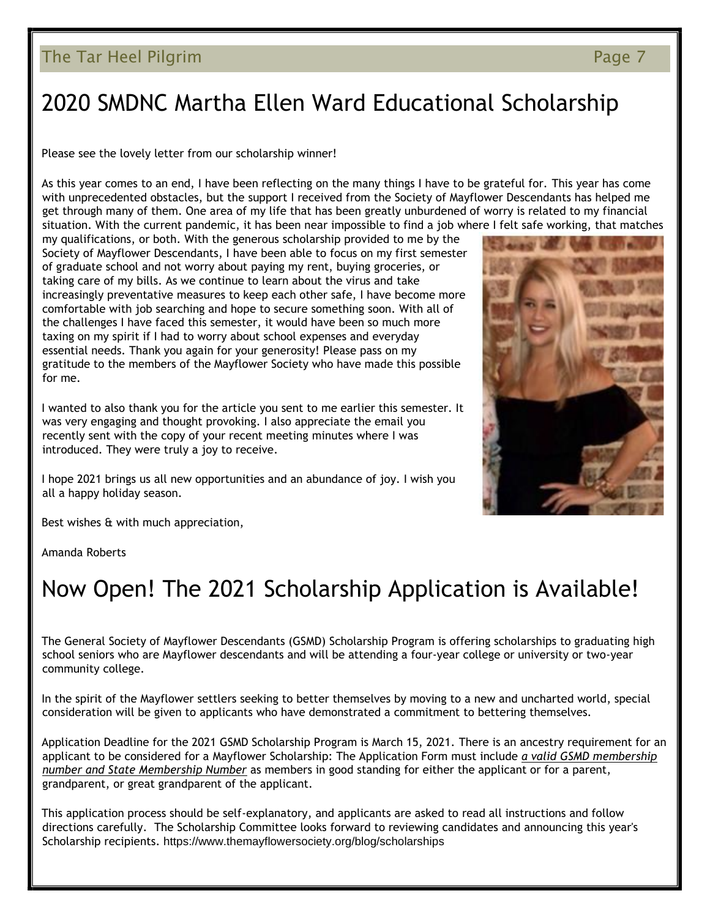#### The Tar Heel Pilgrim **Page 7** and the Tar Heel Pilgrim Page 7

### 2020 SMDNC Martha Ellen Ward Educational Scholarship

Please see the lovely letter from our scholarship winner!

As this year comes to an end, I have been reflecting on the many things I have to be grateful for. This year has come with unprecedented obstacles, but the support I received from the Society of Mayflower Descendants has helped me get through many of them. One area of my life that has been greatly unburdened of worry is related to my financial situation. With the current pandemic, it has been near impossible to find a job where I felt safe working, that matches

my qualifications, or both. With the generous scholarship provided to me by the Society of Mayflower Descendants, I have been able to focus on my first semester of graduate school and not worry about paying my rent, buying groceries, or taking care of my bills. As we continue to learn about the virus and take increasingly preventative measures to keep each other safe, I have become more comfortable with job searching and hope to secure something soon. With all of the challenges I have faced this semester, it would have been so much more taxing on my spirit if I had to worry about school expenses and everyday essential needs. Thank you again for your generosity! Please pass on my gratitude to the members of the Mayflower Society who have made this possible for me.

I wanted to also thank you for the article you sent to me earlier this semester. It was very engaging and thought provoking. I also appreciate the email you recently sent with the copy of your recent meeting minutes where I was introduced. They were truly a joy to receive.

I hope 2021 brings us all new opportunities and an abundance of joy. I wish you all a happy holiday season.



Best wishes & with much appreciation,

Amanda Roberts

### Now Open! The 2021 Scholarship Application is Available!

The General Society of Mayflower Descendants (GSMD) Scholarship Program is offering scholarships to graduating high school seniors who are Mayflower descendants and will be attending a four-year college or university or two-year community college.

In the spirit of the Mayflower settlers seeking to better themselves by moving to a new and uncharted world, special consideration will be given to applicants who have demonstrated a commitment to bettering themselves.

Application Deadline for the 2021 GSMD Scholarship Program is March 15, 2021. There is an ancestry requirement for an applicant to be considered for a Mayflower Scholarship: The Application Form must include *a valid GSMD membership number and State Membership Number* as members in good standing for either the applicant or for a parent, grandparent, or great grandparent of the applicant.

This application process should be self-explanatory, and applicants are asked to read all instructions and follow directions carefully. The Scholarship Committee looks forward to reviewing candidates and announcing this year's Scholarship recipients. https://www.themayflowersociety.org/blog/scholarships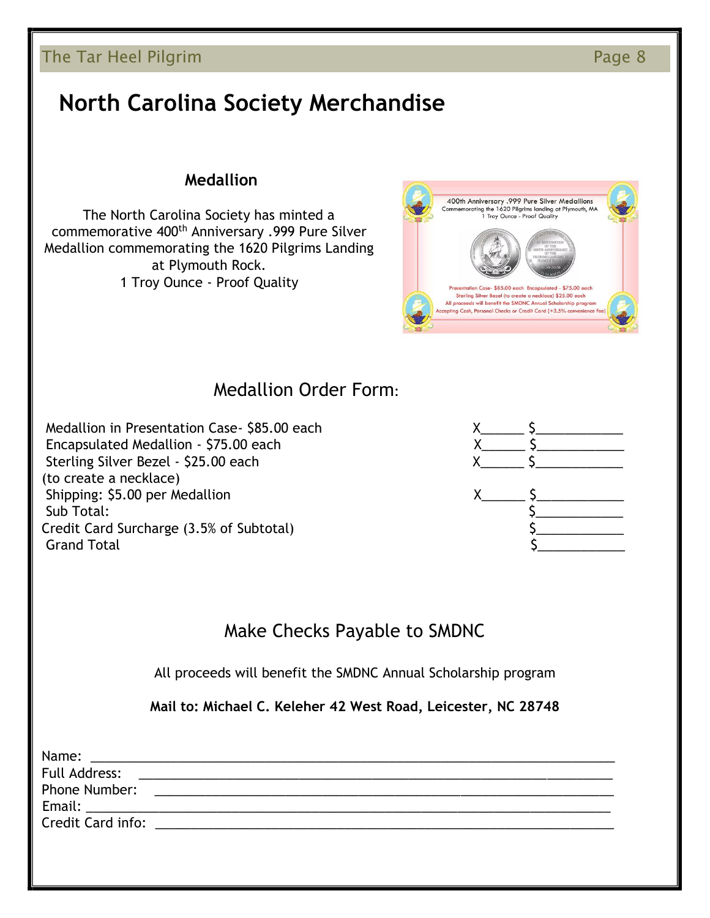### The Tar Heel Pilgrim **Page 8** and the *Page 8* and the *Page 8* **North Carolina Society Merchandise Medallion** 400th Anniversary .999 Pure Silver Medallions Commemorating the 1620 Pilgrims landing at Plymouth, MA The North Carolina Society has minted a 1 Troy Qunce - Proof Quality commemorative 400<sup>th</sup> Anniversary .999 Pure Silver Medallion commemorating the 1620 Pilgrims Landing at Plymouth Rock. 1 Troy Ounce - Proof Quality n Case- \$85.00 each Encapsulated - \$75.00 each Sterling Silver Bezel (to create a necklace) \$25.00 each All proceeds will benefit the SMDNC Annual Scholarship progre **Accepting Cash, Personal Checks or Credit Card (+3.5% convenience** Medallion Order Form: Medallion in Presentation Case- \$85.00 each X\_\_\_\_\_\_ \$\_\_\_\_\_\_\_\_\_\_\_\_ Encapsulated Medallion - \$75.00 each Sterling Silver Bezel - \$25.00 each (to create a necklace) Shipping:  $$5.00$  per Medallion  $X_{\text{max}}$  \$ Sub Total: \$\_\_\_\_\_\_\_\_\_\_\_\_ Credit Card Surcharge (3.5% of Subtotal) Grand Total Make Checks Payable to SMDNC All proceeds will benefit the SMDNC Annual Scholarship program **Mail to: Michael C. Keleher 42 West Road, Leicester, NC 28748** Name: \_\_\_\_\_\_\_\_\_\_\_\_\_\_\_\_\_\_\_\_\_\_\_\_\_\_\_\_\_\_\_\_\_\_\_\_\_\_\_\_\_\_\_\_\_\_\_\_\_\_\_\_\_\_\_\_\_\_\_\_\_\_\_\_\_\_\_\_\_\_\_\_ Full Address: Phone Number: Email: \_\_\_\_\_\_\_\_\_\_\_\_\_\_\_\_\_\_\_\_\_\_\_\_\_\_\_\_\_\_\_\_\_\_\_\_\_\_\_\_\_\_\_\_\_\_\_\_\_\_\_\_\_\_\_\_\_\_\_\_\_\_\_\_\_\_\_\_\_\_\_\_ Credit Card info: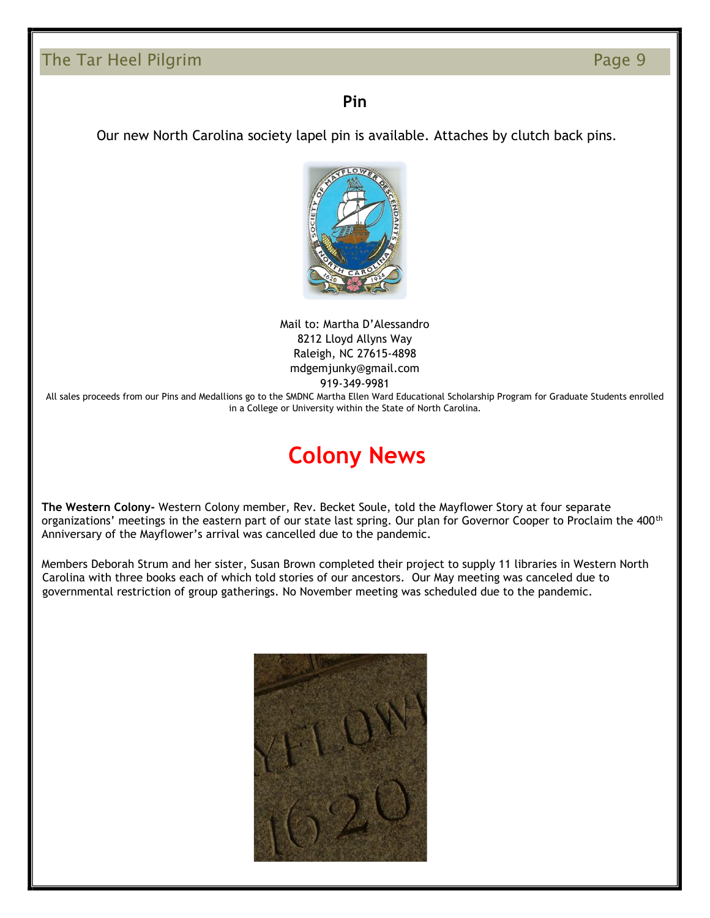#### **Pin**

Our new North Carolina society lapel pin is available. Attaches by clutch back pins.



Mail to: Martha D'Alessandro 8212 Lloyd Allyns Way Raleigh, NC 27615-4898 mdgemjunky@gmail.com 919-349-9981

All sales proceeds from our Pins and Medallions go to the SMDNC Martha Ellen Ward Educational Scholarship Program for Graduate Students enrolled in a College or University within the State of North Carolina.

## **Colony News**

**The Western Colony-** Western Colony member, Rev. Becket Soule, told the Mayflower Story at four separate organizations' meetings in the eastern part of our state last spring. Our plan for Governor Cooper to Proclaim the 400<sup>th</sup> Anniversary of the Mayflower's arrival was cancelled due to the pandemic.

Members Deborah Strum and her sister, Susan Brown completed their project to supply 11 libraries in Western North Carolina with three books each of which told stories of our ancestors. Our May meeting was canceled due to governmental restriction of group gatherings. No November meeting was scheduled due to the pandemic.

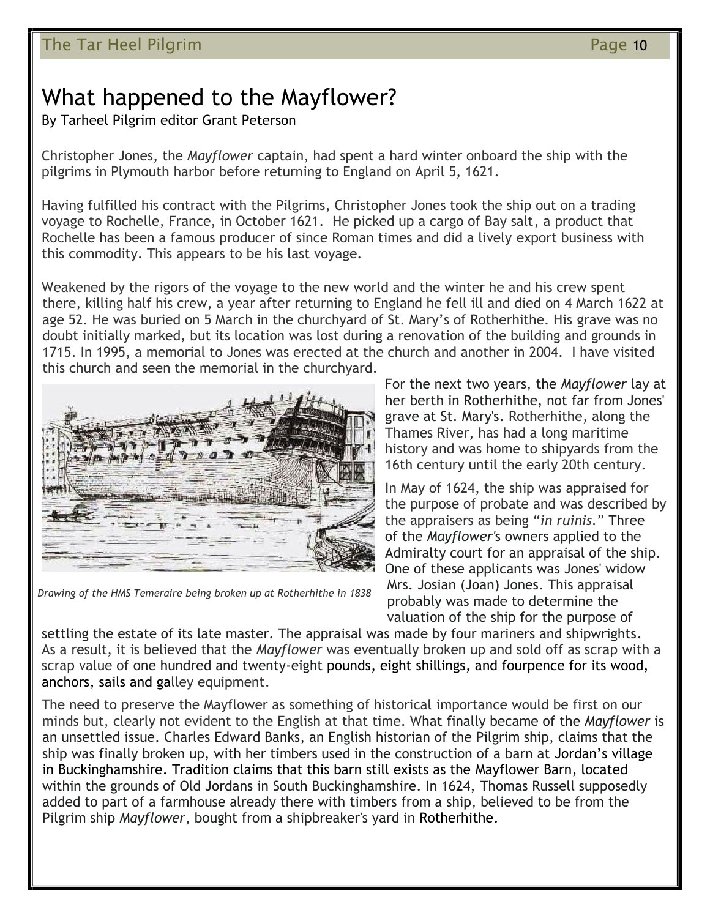### What happened to the Mayflower?

By Tarheel Pilgrim editor Grant Peterson

Christopher Jones, the *Mayflower* captain, had spent a hard winter onboard the ship with the pilgrims in Plymouth harbor before returning to England on April 5, 1621.

Having fulfilled his contract with the Pilgrims, Christopher Jones took the ship out on a trading voyage to Rochelle, France, in October 1621. He picked up a cargo of Bay salt, a product that Rochelle has been a famous producer of since Roman times and did a lively export business with this commodity. This appears to be his last voyage.

Weakened by the rigors of the voyage to the new world and the winter he and his crew spent there, killing half his crew, a year after returning to England he fell ill and died on 4 March 1622 at age 52. He was buried on 5 March in the churchyard of St. Mary's of Rotherhithe. His grave was no doubt initially marked, but its location was lost during a renovation of the building and grounds in 1715. In 1995, a memorial to Jones was erected at the church and another in 2004. I have visited this church and seen the memorial in the churchyard.



*Drawing of the HMS Temeraire being broken up at Rotherhithe in 1838*

For the next two years, the *Mayflower* lay at her berth in Rotherhithe, not far from Jones' grave at St. Mary's. Rotherhithe, along the Thames River, has had a long maritime history and was home to shipyards from the 16th century until the early 20th century.

In May of 1624, the ship was appraised for the purpose of probate and was described by the appraisers as being "*in ruinis.*" Three of the *Mayflower'*s owners applied to the Admiralty court for an appraisal of the ship. One of these applicants was Jones' widow Mrs. Josian (Joan) Jones. This appraisal probably was made to determine the valuation of the ship for the purpose of

settling the estate of its late master. The appraisal was made by four mariners and shipwrights. As a result, it is believed that the *Mayflower* was eventually broken up and sold off as scrap with a scrap value of one hundred and twenty-eight pounds, eight shillings, and fourpence for its wood, anchors, sails and galley equipment.

The need to preserve the Mayflower as something of historical importance would be first on our minds but, clearly not evident to the English at that time. What finally became of the *Mayflower* is an unsettled issue. Charles Edward Banks, an English historian of the Pilgrim ship, claims that the ship was finally broken up, with her timbers used in the construction of a barn at Jordan's village in Buckinghamshire. Tradition claims that this barn still exists as the Mayflower Barn, located within the grounds of Old Jordans in South Buckinghamshire. In 1624, Thomas Russell supposedly added to part of a farmhouse already there with timbers from a ship, believed to be from the Pilgrim ship *Mayflower*, bought from a shipbreaker's yard in Rotherhithe.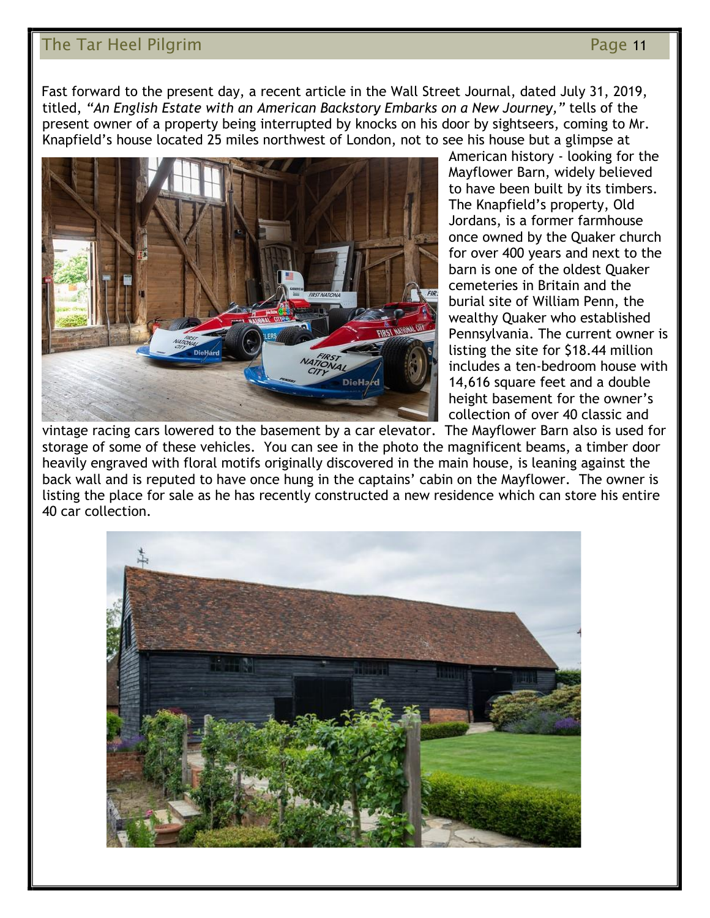Fast forward to the present day, a recent article in the Wall Street Journal, dated July 31, 2019, titled, *"An English Estate with an American Backstory Embarks on a New Journey,"* tells of the present owner of a property being interrupted by knocks on his door by sightseers, coming to Mr. Knapfield's house located 25 miles northwest of London, not to see his house but a glimpse at



American history - looking for the Mayflower Barn, widely believed to have been built by its timbers. The Knapfield's property, Old Jordans, is a former farmhouse once owned by the Quaker church for over 400 years and next to the barn is one of the oldest Quaker cemeteries in Britain and the burial site of William Penn, the wealthy Quaker who established Pennsylvania. The current owner is listing the site for \$18.44 million includes a ten-bedroom house with 14,616 square feet and a double height basement for the owner's collection of over 40 classic and

vintage racing cars lowered to the basement by a car elevator. The Mayflower Barn also is used for storage of some of these vehicles. You can see in the photo the magnificent beams, a timber door heavily engraved with floral motifs originally discovered in the main house, is leaning against the back wall and is reputed to have once hung in the captains' cabin on the Mayflower. The owner is listing the place for sale as he has recently constructed a new residence which can store his entire 40 car collection*.*

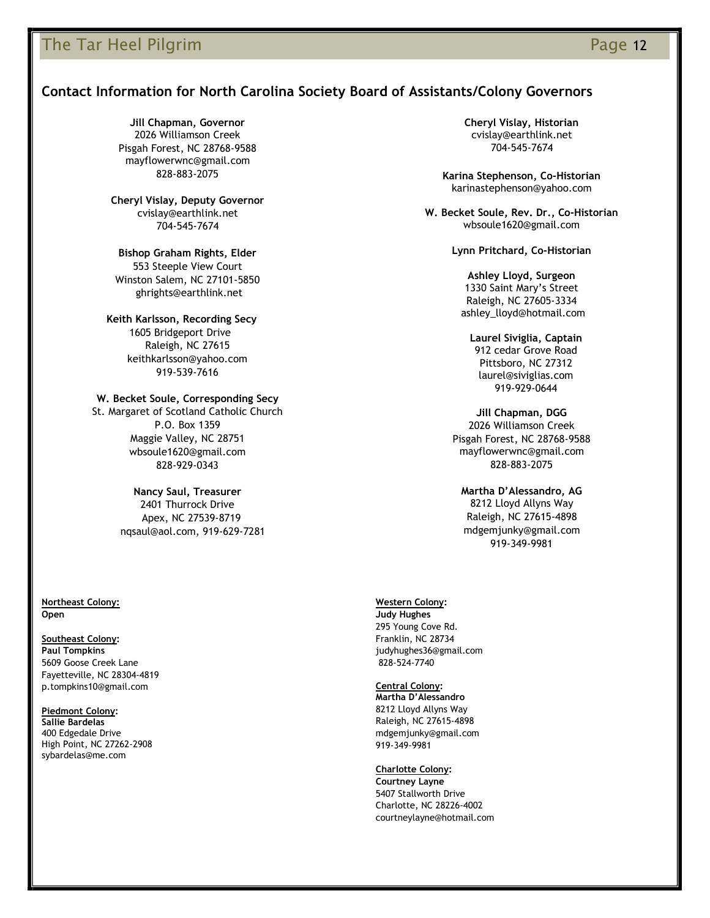#### **Contact Information for North Carolina Society Board of Assistants/Colony Governors**

**Jill Chapman, Governor** 2026 Williamson Creek Pisgah Forest, NC 28768-9588 mayflowerwnc@gmail.com 828-883-2075

**Cheryl Vislay, Deputy Governor**  cvislay@earthlink.net 704-545-7674

**Bishop Graham Rights, Elder**

553 Steeple View Court Winston Salem, NC 27101-5850 ghrights@earthlink.net

 **Keith Karlsson, Recording Secy**

 1605 Bridgeport Drive Raleigh, NC 27615 keithkarlsson@yahoo.com 919-539-7616

**W. Becket Soule, Corresponding Secy** St. Margaret of Scotland Catholic Church P.O. Box 1359 Maggie Valley, NC 28751 wbsoule1620@gmail.com 828-929-0343

> **Nancy Saul, Treasurer** 2401 Thurrock Drive Apex, NC 27539-8719 nqsaul@aol.com, 919-629-7281

**Northeast Colony: Open**

**Southeast Colony: Paul Tompkins** 5609 Goose Creek Lane Fayetteville, NC 28304-4819 p.tompkins10@gmail.com

**Piedmont Colony: Sallie Bardelas** 400 Edgedale Drive High Point, NC 27262-2908 sybardelas@me.com

**Cheryl Vislay, Historian** cvislay@earthlink.net 704-545-7674

**Karina Stephenson, Co-Historian** karinastephenson@yahoo.com

**W. Becket Soule, Rev. Dr., Co-Historian** wbsoule1620@gmail.com

**Lynn Pritchard, Co-Historian**

**Ashley Lloyd, Surgeon** 1330 Saint Mary's Street Raleigh, NC 27605-3334 ashley\_lloyd@hotmail.com

**Laurel Siviglia, Captain** 912 cedar Grove Road Pittsboro, NC 27312 laurel@siviglias.com 919-929-0644

**Jill Chapman, DGG** 2026 Williamson Creek Pisgah Forest, NC 28768-9588 mayflowerwnc@gmail.com 828-883-2075

**Martha D'Alessandro, AG** 8212 Lloyd Allyns Way Raleigh, NC 27615-4898 mdgemjunky@gmail.com 919-349-9981

#### **Western Colony:**

**Judy Hughes** 295 Young Cove Rd. Franklin, NC 28734 judyhughes36@gmail.com 828-524-7740

**Central Colony: Martha D'Alessandro** 8212 Lloyd Allyns Way Raleigh, NC 27615-4898 mdgemjunky@gmail.com 919-349-9981

**Charlotte Colony: Courtney Layne** 5407 Stallworth Drive Charlotte, NC 28226-4002 courtneylayne@hotmail.com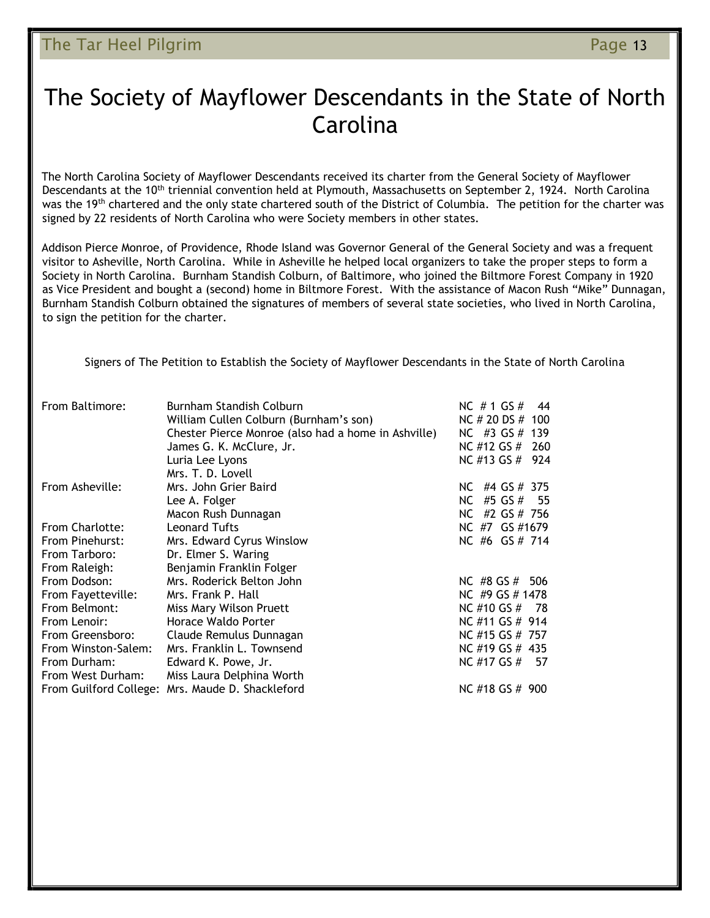### The Society of Mayflower Descendants in the State of North Carolina

The North Carolina Society of Mayflower Descendants received its charter from the General Society of Mayflower Descendants at the 10<sup>th</sup> triennial convention held at Plymouth, Massachusetts on September 2, 1924. North Carolina was the 19th chartered and the only state chartered south of the District of Columbia. The petition for the charter was signed by 22 residents of North Carolina who were Society members in other states.

Addison Pierce Monroe, of Providence, Rhode Island was Governor General of the General Society and was a frequent visitor to Asheville, North Carolina. While in Asheville he helped local organizers to take the proper steps to form a Society in North Carolina. Burnham Standish Colburn, of Baltimore, who joined the Biltmore Forest Company in 1920 as Vice President and bought a (second) home in Biltmore Forest. With the assistance of Macon Rush "Mike" Dunnagan, Burnham Standish Colburn obtained the signatures of members of several state societies, who lived in North Carolina, to sign the petition for the charter.

Signers of The Petition to Establish the Society of Mayflower Descendants in the State of North Carolina

| From Baltimore:     | Burnham Standish Colburn                            | NC $# 1$ GS $# $<br>44  |
|---------------------|-----------------------------------------------------|-------------------------|
|                     | William Cullen Colburn (Burnham's son)              | NC # 20 DS # 100        |
|                     | Chester Pierce Monroe (also had a home in Ashville) | NC #3 GS # 139          |
|                     | James G. K. McClure, Jr.                            | NC #12 GS #<br>260      |
|                     | Luria Lee Lyons                                     | NC #13 GS # 924         |
|                     | Mrs. T. D. Lovell                                   |                         |
| From Asheville:     | Mrs. John Grier Baird                               | #4 GS # 375<br>NC.      |
|                     | Lee A. Folger                                       | NC .<br>#5 GS #<br>- 55 |
|                     | Macon Rush Dunnagan                                 | #2 GS # 756<br>NC .     |
| From Charlotte:     | <b>Leonard Tufts</b>                                | NC #7 GS #1679          |
| From Pinehurst:     | Mrs. Edward Cyrus Winslow                           | NC #6 GS # 714          |
| From Tarboro:       | Dr. Elmer S. Waring                                 |                         |
| From Raleigh:       | Benjamin Franklin Folger                            |                         |
| From Dodson:        | Mrs. Roderick Belton John                           | NC $\#8$ GS $\#$ 506    |
| From Fayetteville:  | Mrs. Frank P. Hall                                  | NC #9 GS # 1478         |
| From Belmont:       | Miss Mary Wilson Pruett                             | NC #10 GS #<br>- 78     |
| From Lenoir:        | Horace Waldo Porter                                 | NC #11 GS # 914         |
| From Greensboro:    | Claude Remulus Dunnagan                             | NC #15 GS # 757         |
| From Winston-Salem: | Mrs. Franklin L. Townsend                           | NC #19 GS # 435         |
| From Durham:        | Edward K. Powe, Jr.                                 | NC #17 GS #<br>- 57     |
| From West Durham:   | Miss Laura Delphina Worth                           |                         |
|                     | From Guilford College: Mrs. Maude D. Shackleford    | NC #18 GS # 900         |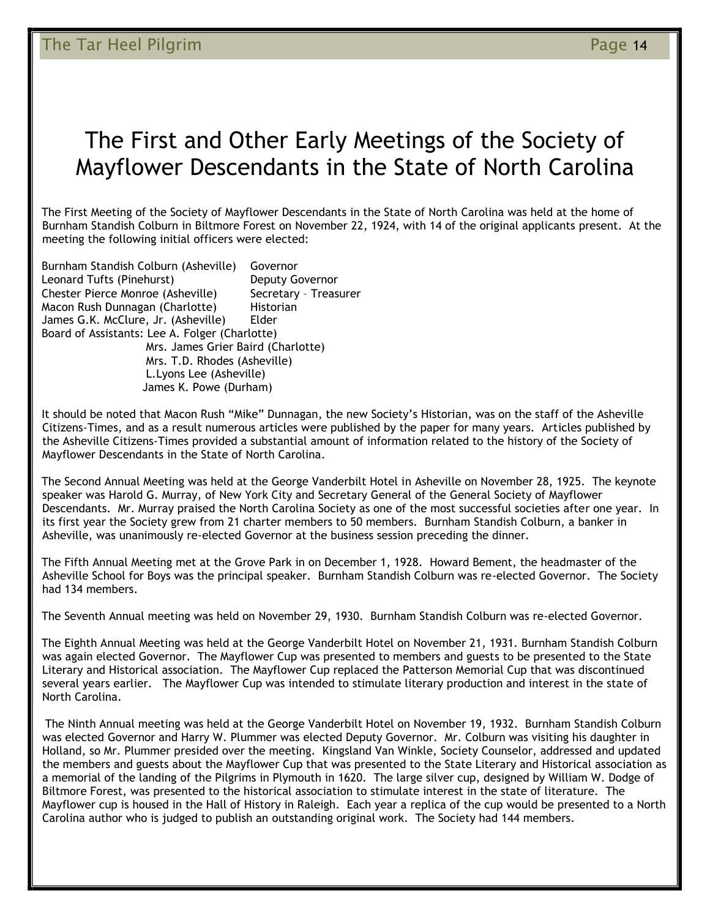### The First and Other Early Meetings of the Society of Mayflower Descendants in the State of North Carolina

The First Meeting of the Society of Mayflower Descendants in the State of North Carolina was held at the home of Burnham Standish Colburn in Biltmore Forest on November 22, 1924, with 14 of the original applicants present. At the meeting the following initial officers were elected:

Burnham Standish Colburn (Asheville) Governor Leonard Tufts (Pinehurst) Deputy Governor Chester Pierce Monroe (Asheville) Secretary – Treasurer Macon Rush Dunnagan (Charlotte) Historian James G.K. McClure, Jr. (Asheville) Elder Board of Assistants: Lee A. Folger (Charlotte) Mrs. James Grier Baird (Charlotte) Mrs. T.D. Rhodes (Asheville) L.Lyons Lee (Asheville) James K. Powe (Durham)

It should be noted that Macon Rush "Mike" Dunnagan, the new Society's Historian, was on the staff of the Asheville Citizens-Times, and as a result numerous articles were published by the paper for many years. Articles published by the Asheville Citizens-Times provided a substantial amount of information related to the history of the Society of Mayflower Descendants in the State of North Carolina.

The Second Annual Meeting was held at the George Vanderbilt Hotel in Asheville on November 28, 1925. The keynote speaker was Harold G. Murray, of New York City and Secretary General of the General Society of Mayflower Descendants. Mr. Murray praised the North Carolina Society as one of the most successful societies after one year. In its first year the Society grew from 21 charter members to 50 members. Burnham Standish Colburn, a banker in Asheville, was unanimously re-elected Governor at the business session preceding the dinner.

The Fifth Annual Meeting met at the Grove Park in on December 1, 1928. Howard Bement, the headmaster of the Asheville School for Boys was the principal speaker. Burnham Standish Colburn was re-elected Governor. The Society had 134 members.

The Seventh Annual meeting was held on November 29, 1930. Burnham Standish Colburn was re-elected Governor.

The Eighth Annual Meeting was held at the George Vanderbilt Hotel on November 21, 1931. Burnham Standish Colburn was again elected Governor. The Mayflower Cup was presented to members and guests to be presented to the State Literary and Historical association. The Mayflower Cup replaced the Patterson Memorial Cup that was discontinued several years earlier. The Mayflower Cup was intended to stimulate literary production and interest in the state of North Carolina.

The Ninth Annual meeting was held at the George Vanderbilt Hotel on November 19, 1932. Burnham Standish Colburn was elected Governor and Harry W. Plummer was elected Deputy Governor. Mr. Colburn was visiting his daughter in Holland, so Mr. Plummer presided over the meeting. Kingsland Van Winkle, Society Counselor, addressed and updated the members and guests about the Mayflower Cup that was presented to the State Literary and Historical association as a memorial of the landing of the Pilgrims in Plymouth in 1620. The large silver cup, designed by William W. Dodge of Biltmore Forest, was presented to the historical association to stimulate interest in the state of literature. The Mayflower cup is housed in the Hall of History in Raleigh. Each year a replica of the cup would be presented to a North Carolina author who is judged to publish an outstanding original work. The Society had 144 members.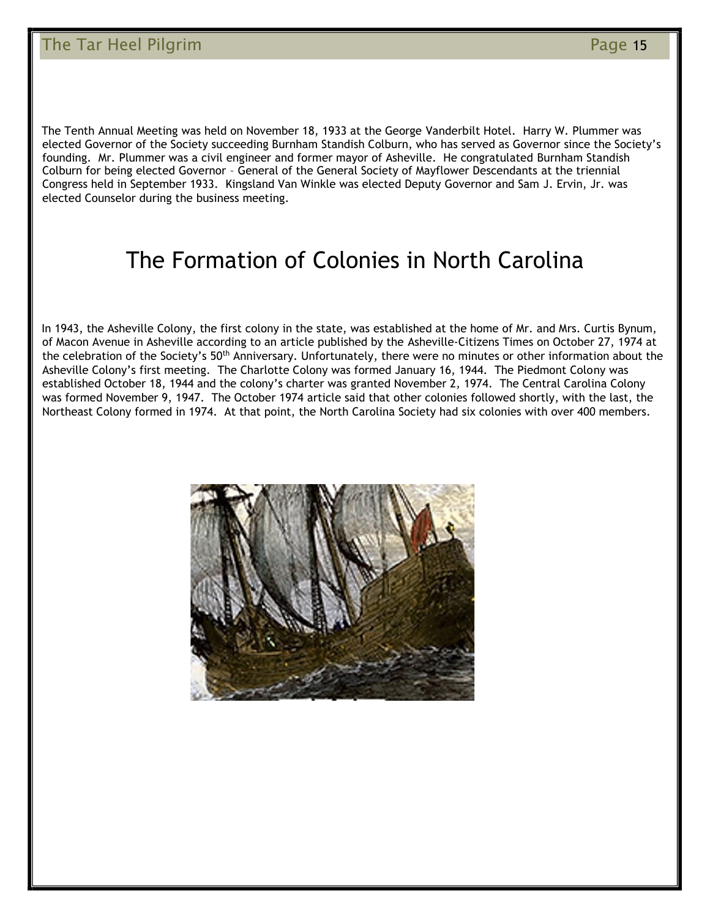The Tenth Annual Meeting was held on November 18, 1933 at the George Vanderbilt Hotel. Harry W. Plummer was elected Governor of the Society succeeding Burnham Standish Colburn, who has served as Governor since the Society's founding. Mr. Plummer was a civil engineer and former mayor of Asheville. He congratulated Burnham Standish Colburn for being elected Governor – General of the General Society of Mayflower Descendants at the triennial Congress held in September 1933. Kingsland Van Winkle was elected Deputy Governor and Sam J. Ervin, Jr. was elected Counselor during the business meeting.

### The Formation of Colonies in North Carolina

In 1943, the Asheville Colony, the first colony in the state, was established at the home of Mr. and Mrs. Curtis Bynum, of Macon Avenue in Asheville according to an article published by the Asheville-Citizens Times on October 27, 1974 at the celebration of the Society's 50<sup>th</sup> Anniversary. Unfortunately, there were no minutes or other information about the Asheville Colony's first meeting. The Charlotte Colony was formed January 16, 1944. The Piedmont Colony was established October 18, 1944 and the colony's charter was granted November 2, 1974. The Central Carolina Colony was formed November 9, 1947. The October 1974 article said that other colonies followed shortly, with the last, the Northeast Colony formed in 1974. At that point, the North Carolina Society had six colonies with over 400 members.